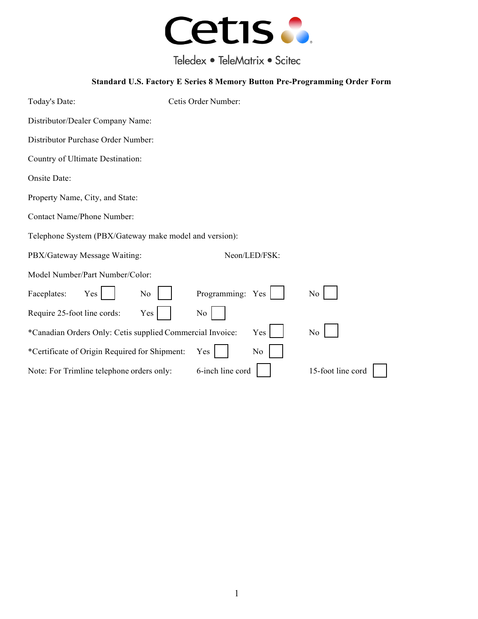

Teledex • TeleMatrix • Scitec

## **Standard U.S. Factory E Series 8 Memory Button Pre-Programming Order Form**

| Today's Date:                                             | Cetis Order Number: |                   |  |
|-----------------------------------------------------------|---------------------|-------------------|--|
| Distributor/Dealer Company Name:                          |                     |                   |  |
| Distributor Purchase Order Number:                        |                     |                   |  |
| Country of Ultimate Destination:                          |                     |                   |  |
| Onsite Date:                                              |                     |                   |  |
| Property Name, City, and State:                           |                     |                   |  |
| <b>Contact Name/Phone Number:</b>                         |                     |                   |  |
| Telephone System (PBX/Gateway make model and version):    |                     |                   |  |
| PBX/Gateway Message Waiting:                              | Neon/LED/FSK:       |                   |  |
| Model Number/Part Number/Color:                           |                     |                   |  |
| Faceplates:<br>Yes<br>No                                  | Programming: Yes    | No                |  |
| Require 25-foot line cords:<br>Yes                        | No                  |                   |  |
| *Canadian Orders Only: Cetis supplied Commercial Invoice: | Yes                 | No                |  |
| *Certificate of Origin Required for Shipment:             | No<br>Yes           |                   |  |
| Note: For Trimline telephone orders only:                 | 6-inch line cord    | 15-foot line cord |  |